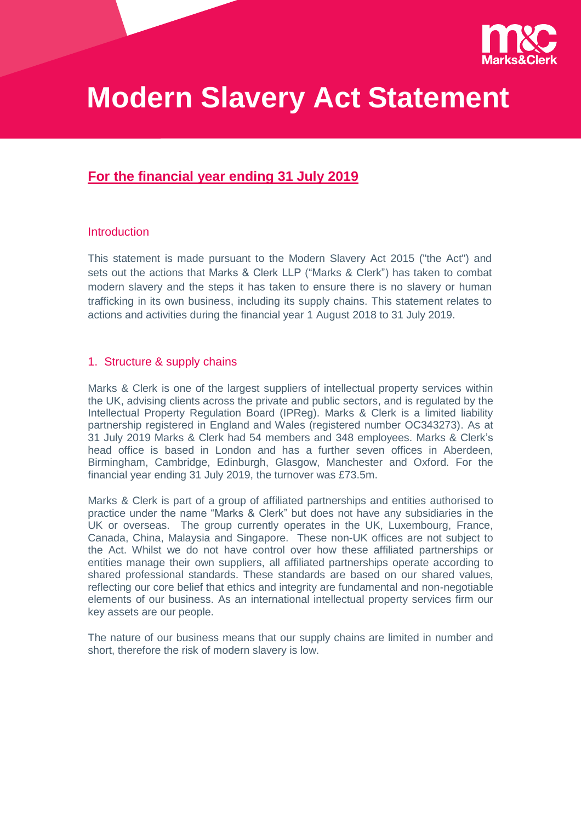

# **Modern Slavery Act Statement**

# **For the financial year ending 31 July 2019**

#### **Introduction**

This statement is made pursuant to the Modern Slavery Act 2015 ("the Act") and sets out the actions that Marks & Clerk LLP ("Marks & Clerk") has taken to combat modern slavery and the steps it has taken to ensure there is no slavery or human trafficking in its own business, including its supply chains. This statement relates to actions and activities during the financial year 1 August 2018 to 31 July 2019.

#### 1. Structure & supply chains

Marks & Clerk is one of the largest suppliers of intellectual property services within the UK, advising clients across the private and public sectors, and is regulated by the Intellectual Property Regulation Board (IPReg). Marks & Clerk is a limited liability partnership registered in England and Wales (registered number OC343273). As at 31 July 2019 Marks & Clerk had 54 members and 348 employees. Marks & Clerk's head office is based in London and has a further seven offices in Aberdeen, Birmingham, Cambridge, Edinburgh, Glasgow, Manchester and Oxford. For the financial year ending 31 July 2019, the turnover was £73.5m.

Marks & Clerk is part of a group of affiliated partnerships and entities authorised to practice under the name "Marks & Clerk" but does not have any subsidiaries in the UK or overseas. The group currently operates in the UK, Luxembourg, France, Canada, China, Malaysia and Singapore. These non-UK offices are not subject to the Act. Whilst we do not have control over how these affiliated partnerships or entities manage their own suppliers, all affiliated partnerships operate according to shared professional standards. These standards are based on our shared values, reflecting our core belief that ethics and integrity are fundamental and non-negotiable elements of our business. As an international intellectual property services firm our key assets are our people.

The nature of our business means that our supply chains are limited in number and short, therefore the risk of modern slavery is low.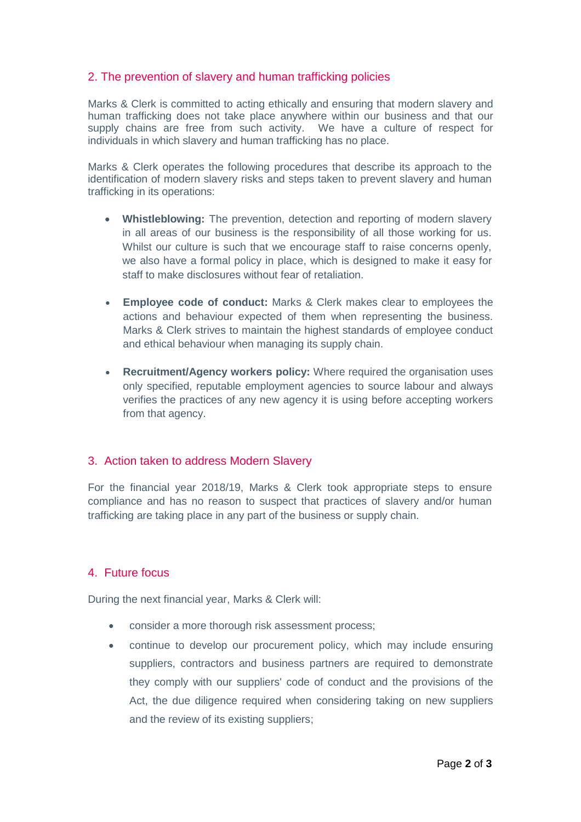# 2. The prevention of slavery and human trafficking policies

Marks & Clerk is committed to acting ethically and ensuring that modern slavery and human trafficking does not take place anywhere within our business and that our supply chains are free from such activity. We have a culture of respect for individuals in which slavery and human trafficking has no place.

Marks & Clerk operates the following procedures that describe its approach to the identification of modern slavery risks and steps taken to prevent slavery and human trafficking in its operations:

- **Whistleblowing:** The prevention, detection and reporting of modern slavery in all areas of our business is the responsibility of all those working for us. Whilst our culture is such that we encourage staff to raise concerns openly, we also have a formal policy in place, which is designed to make it easy for staff to make disclosures without fear of retaliation.
- **Employee code of conduct:** Marks & Clerk makes clear to employees the actions and behaviour expected of them when representing the business. Marks & Clerk strives to maintain the highest standards of employee conduct and ethical behaviour when managing its supply chain.
- **Recruitment/Agency workers policy:** Where required the organisation uses only specified, reputable employment agencies to source labour and always verifies the practices of any new agency it is using before accepting workers from that agency.

## 3. Action taken to address Modern Slavery

For the financial year 2018/19, Marks & Clerk took appropriate steps to ensure compliance and has no reason to suspect that practices of slavery and/or human trafficking are taking place in any part of the business or supply chain.

## 4. Future focus

During the next financial year, Marks & Clerk will:

- consider a more thorough risk assessment process;
- continue to develop our procurement policy, which may include ensuring suppliers, contractors and business partners are required to demonstrate they comply with our suppliers' code of conduct and the provisions of the Act, the due diligence required when considering taking on new suppliers and the review of its existing suppliers;